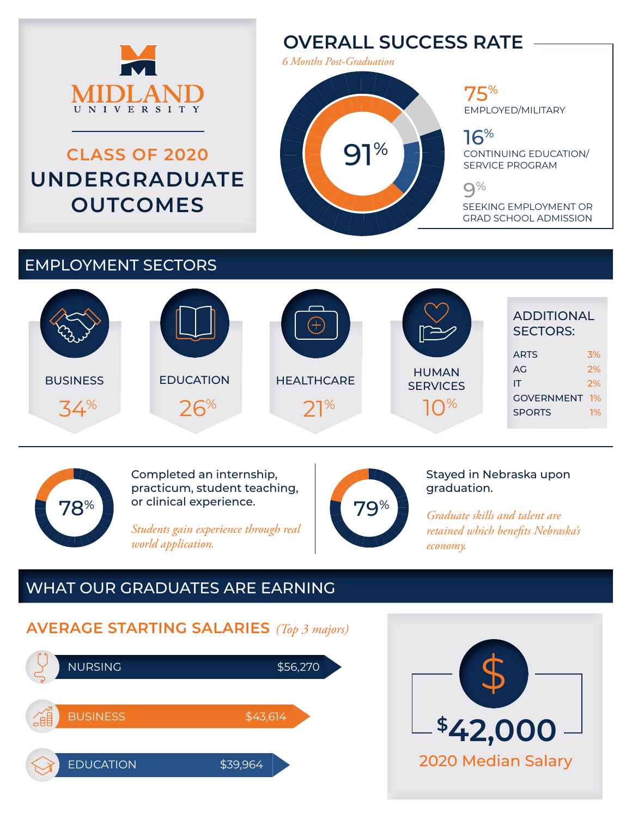

# **CLASS OF 2020 UNDERGRADUATE OUTCOMES**

# **OVERALL SUCCESS RATE**

*6 Months Post-Graduation*

91%

75% EMPLOYED/MILITARY

16%

CONTINUING EDUCATION/ SERVICE PROGRAM

9%

SEEKING EMPLOYMENT OR GRAD SCHOOL ADMISSION

### EMPLOYMENT SECTORS





Completed an internship, practicum, student teaching, or clinical experience.

*Students gain experience through real world application.*



Stayed in Nebraska upon graduation.

*Graduate skills and talent are retained which benefits Nebraska's economy.*

# WHAT OUR GRADUATES ARE EARNING

#### **AVERAGE STARTING SALARIES** *(Top 3 majors)*